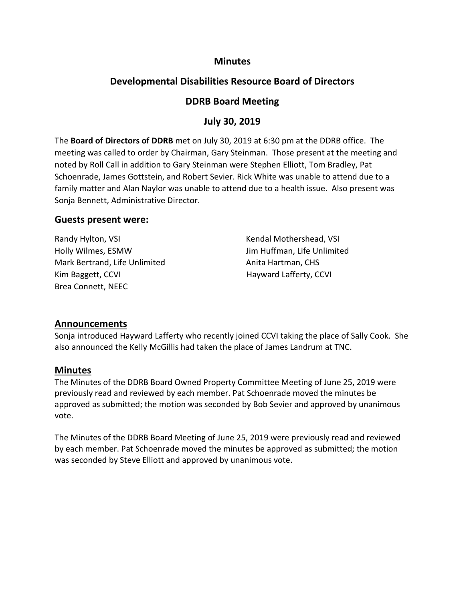### **Minutes**

# **Developmental Disabilities Resource Board of Directors**

## **DDRB Board Meeting**

## **July 30, 2019**

The **Board of Directors of DDRB** met on July 30, 2019 at 6:30 pm at the DDRB office. The meeting was called to order by Chairman, Gary Steinman. Those present at the meeting and noted by Roll Call in addition to Gary Steinman were Stephen Elliott, Tom Bradley, Pat Schoenrade, James Gottstein, and Robert Sevier. Rick White was unable to attend due to a family matter and Alan Naylor was unable to attend due to a health issue. Also present was Sonja Bennett, Administrative Director.

### **Guests present were:**

Randy Hylton, VSI **Kendal Mothershead, VSI** Kendal Mothershead, VSI Holly Wilmes, ESMW Jim Huffman, Life Unlimited Mark Bertrand, Life Unlimited Anita Hartman, CHS Kim Baggett, CCVI **Hayward Lafferty, CCVI** Brea Connett, NEEC

### **Announcements**

Sonja introduced Hayward Lafferty who recently joined CCVI taking the place of Sally Cook. She also announced the Kelly McGillis had taken the place of James Landrum at TNC.

### **Minutes**

The Minutes of the DDRB Board Owned Property Committee Meeting of June 25, 2019 were previously read and reviewed by each member. Pat Schoenrade moved the minutes be approved as submitted; the motion was seconded by Bob Sevier and approved by unanimous vote.

The Minutes of the DDRB Board Meeting of June 25, 2019 were previously read and reviewed by each member. Pat Schoenrade moved the minutes be approved as submitted; the motion was seconded by Steve Elliott and approved by unanimous vote.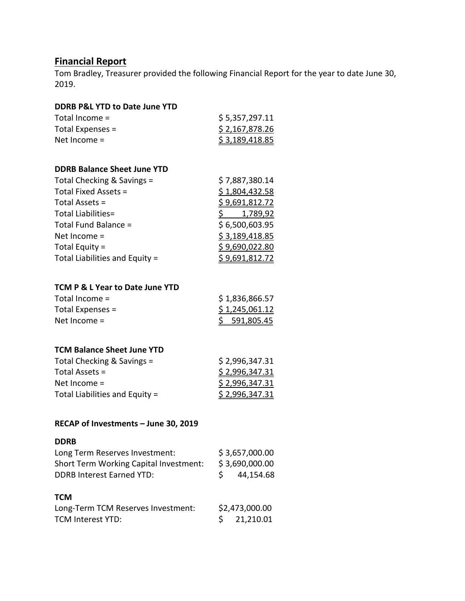## **Financial Report**

Tom Bradley, Treasurer provided the following Financial Report for the year to date June 30, 2019.

#### **DDRB P&L YTD to Date June YTD**

| Total Income $=$   | \$5,357,297.11 |
|--------------------|----------------|
| Total Expenses $=$ | \$2,167,878.26 |
| Net Income $=$     | \$3,189,418.85 |

#### **DDRB Balance Sheet June YTD**

| Total Checking & Savings =     | \$7,887,380.14 |
|--------------------------------|----------------|
| Total Fixed Assets =           | \$1,804,432.58 |
| Total Assets =                 | \$9,691,812.72 |
| Total Liabilities=             | 1,789,92       |
| Total Fund Balance =           | \$6,500,603.95 |
| Net Income $=$                 | \$3,189,418.85 |
| Total Equity $=$               | \$9,690,022.80 |
| Total Liabilities and Equity = | \$9,691,812.72 |
|                                |                |

#### **TCM P & L Year to Date June YTD**

| Total Income $=$   | \$1,836,866.57 |
|--------------------|----------------|
| Total Expenses $=$ | \$1,245,061.12 |
| Net Income $=$     | \$591,805.45   |

#### **TCM Balance Sheet June YTD**

| Total Checking & Savings =     | \$2,996,347.31 |
|--------------------------------|----------------|
| Total Assets $=$               | \$2,996,347.31 |
| Net Income $=$                 | \$2,996,347.31 |
| Total Liabilities and Equity = | \$2,996,347.31 |

#### **RECAP of Investments – June 30, 2019**

#### **DDRB**

| Long Term Reserves Investment:         | \$3,657,000.00 |                |
|----------------------------------------|----------------|----------------|
| Short Term Working Capital Investment: | \$3,690,000.00 |                |
| <b>DDRB Interest Earned YTD:</b>       |                | 44,154.68      |
| тсм                                    |                |                |
| Long-Term TCM Reserves Investment:     |                | \$2,473,000.00 |
| <b>TCM Interest YTD:</b>               | S.             | 21,210.01      |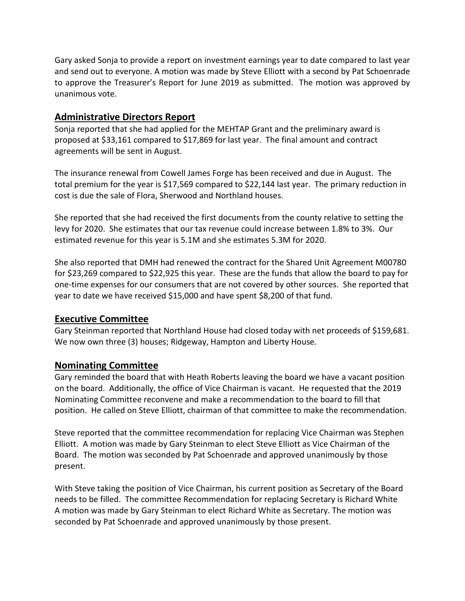Gary asked Sonja to provide a report on investment earnings year to date compared to last year and send out to everyone. A motion was made by Steve Elliott with a second by Pat Schoenrade to approve the Treasurer's Report for June 2019 as submitted. The motion was approved by unanimous vote.

## **Administrative Directors Report**

Sonja reported that she had applied for the MEHTAP Grant and the preliminary award is proposed at \$33,161 compared to \$17,869 for last year. The final amount and contract agreements will be sent in August.

The insurance renewal from Cowell James Forge has been received and due in August. The total premium for the year is \$17,569 compared to \$22,144 last year. The primary reduction in cost is due the sale of Flora, Sherwood and Northland houses.

She reported that she had received the first documents from the county relative to setting the levy for 2020. She estimates that our tax revenue could increase between 1.8% to 3%. Our estimated revenue for this year is 5.1M and she estimates 5.3M for 2020.

She also reported that DMH had renewed the contract for the Shared Unit Agreement M00780 for \$23,269 compared to \$22,925 this year. These are the funds that allow the board to pay for one-time expenses for our consumers that are not covered by other sources. She reported that year to date we have received \$15,000 and have spent \$8,200 of that fund.

## **Executive Committee**

Gary Steinman reported that Northland House had closed today with net proceeds of \$159,681. We now own three (3) houses; Ridgeway, Hampton and Liberty House.

## **Nominating Committee**

Gary reminded the board that with Heath Roberts leaving the board we have a vacant position on the board. Additionally, the office of Vice Chairman is vacant. He requested that the 2019 Nominating Committee reconvene and make a recommendation to the board to fill that position. He called on Steve Elliott, chairman of that committee to make the recommendation.

Steve reported that the committee recommendation for replacing Vice Chairman was Stephen Elliott. A motion was made by Gary Steinman to elect Steve Elliott as Vice Chairman of the Board. The motion was seconded by Pat Schoenrade and approved unanimously by those present.

With Steve taking the position of Vice Chairman, his current position as Secretary of the Board needs to be filled. The committee Recommendation for replacing Secretary is Richard White A motion was made by Gary Steinman to elect Richard White as Secretary. The motion was seconded by Pat Schoenrade and approved unanimously by those present.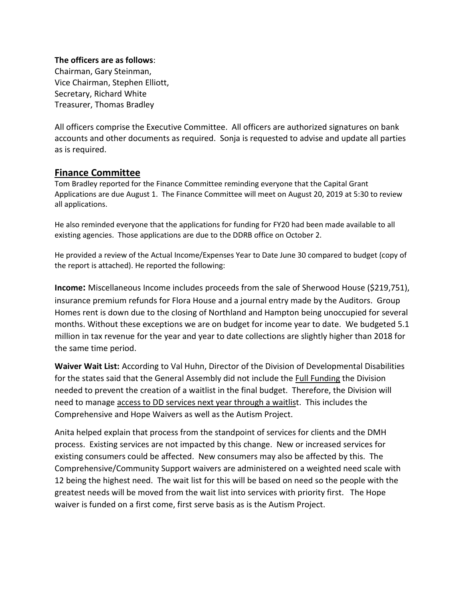#### **The officers are as follows**:

Chairman, Gary Steinman, Vice Chairman, Stephen Elliott, Secretary, Richard White Treasurer, Thomas Bradley

All officers comprise the Executive Committee. All officers are authorized signatures on bank accounts and other documents as required. Sonja is requested to advise and update all parties as is required.

### **Finance Committee**

Tom Bradley reported for the Finance Committee reminding everyone that the Capital Grant Applications are due August 1. The Finance Committee will meet on August 20, 2019 at 5:30 to review all applications.

He also reminded everyone that the applications for funding for FY20 had been made available to all existing agencies. Those applications are due to the DDRB office on October 2.

He provided a review of the Actual Income/Expenses Year to Date June 30 compared to budget (copy of the report is attached). He reported the following:

**Income:** Miscellaneous Income includes proceeds from the sale of Sherwood House (\$219,751), insurance premium refunds for Flora House and a journal entry made by the Auditors. Group Homes rent is down due to the closing of Northland and Hampton being unoccupied for several months. Without these exceptions we are on budget for income year to date. We budgeted 5.1 million in tax revenue for the year and year to date collections are slightly higher than 2018 for the same time period.

**Waiver Wait List:** According to Val Huhn, Director of the Division of Developmental Disabilities for the states said that the General Assembly did not include the Full Funding the Division needed to prevent the creation of a waitlist in the final budget. Therefore, the Division will need to manage access to DD services next year through a waitlist. This includes the Comprehensive and Hope Waivers as well as the Autism Project.

Anita helped explain that process from the standpoint of services for clients and the DMH process. Existing services are not impacted by this change. New or increased services for existing consumers could be affected. New consumers may also be affected by this. The Comprehensive/Community Support waivers are administered on a weighted need scale with 12 being the highest need. The wait list for this will be based on need so the people with the greatest needs will be moved from the wait list into services with priority first. The Hope waiver is funded on a first come, first serve basis as is the Autism Project.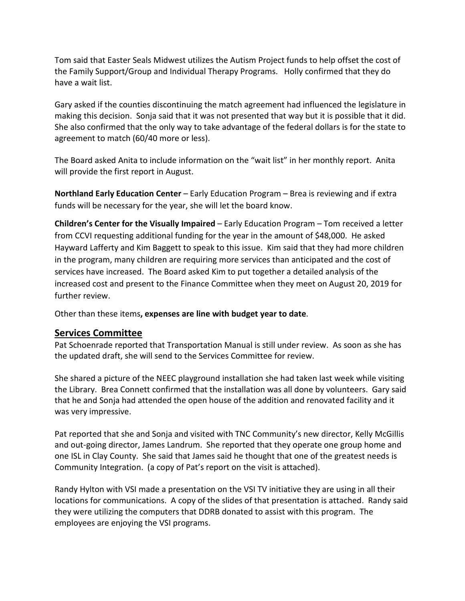Tom said that Easter Seals Midwest utilizes the Autism Project funds to help offset the cost of the Family Support/Group and Individual Therapy Programs. Holly confirmed that they do have a wait list.

Gary asked if the counties discontinuing the match agreement had influenced the legislature in making this decision. Sonja said that it was not presented that way but it is possible that it did. She also confirmed that the only way to take advantage of the federal dollars is for the state to agreement to match (60/40 more or less).

The Board asked Anita to include information on the "wait list" in her monthly report. Anita will provide the first report in August.

**Northland Early Education Center** – Early Education Program – Brea is reviewing and if extra funds will be necessary for the year, she will let the board know.

**Children's Center for the Visually Impaired** – Early Education Program – Tom received a letter from CCVI requesting additional funding for the year in the amount of \$48,000. He asked Hayward Lafferty and Kim Baggett to speak to this issue. Kim said that they had more children in the program, many children are requiring more services than anticipated and the cost of services have increased. The Board asked Kim to put together a detailed analysis of the increased cost and present to the Finance Committee when they meet on August 20, 2019 for further review.

Other than these items**, expenses are line with budget year to date**.

### **Services Committee**

Pat Schoenrade reported that Transportation Manual is still under review. As soon as she has the updated draft, she will send to the Services Committee for review.

She shared a picture of the NEEC playground installation she had taken last week while visiting the Library. Brea Connett confirmed that the installation was all done by volunteers. Gary said that he and Sonja had attended the open house of the addition and renovated facility and it was very impressive.

Pat reported that she and Sonja and visited with TNC Community's new director, Kelly McGillis and out-going director, James Landrum. She reported that they operate one group home and one ISL in Clay County. She said that James said he thought that one of the greatest needs is Community Integration. (a copy of Pat's report on the visit is attached).

Randy Hylton with VSI made a presentation on the VSI TV initiative they are using in all their locations for communications. A copy of the slides of that presentation is attached. Randy said they were utilizing the computers that DDRB donated to assist with this program. The employees are enjoying the VSI programs.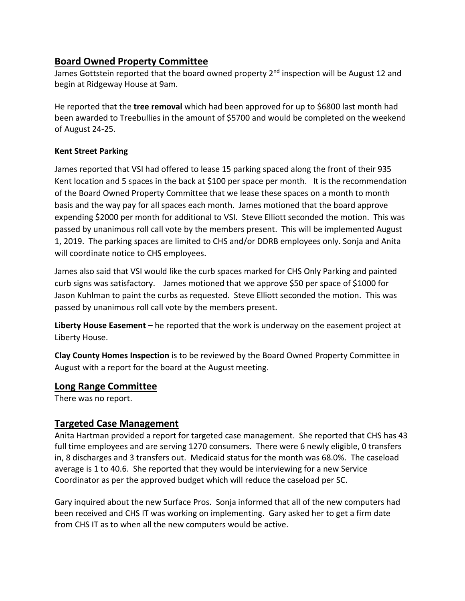# **Board Owned Property Committee**

James Gottstein reported that the board owned property 2<sup>nd</sup> inspection will be August 12 and begin at Ridgeway House at 9am.

He reported that the **tree removal** which had been approved for up to \$6800 last month had been awarded to Treebullies in the amount of \$5700 and would be completed on the weekend of August 24-25.

#### **Kent Street Parking**

James reported that VSI had offered to lease 15 parking spaced along the front of their 935 Kent location and 5 spaces in the back at \$100 per space per month. It is the recommendation of the Board Owned Property Committee that we lease these spaces on a month to month basis and the way pay for all spaces each month. James motioned that the board approve expending \$2000 per month for additional to VSI. Steve Elliott seconded the motion. This was passed by unanimous roll call vote by the members present. This will be implemented August 1, 2019. The parking spaces are limited to CHS and/or DDRB employees only. Sonja and Anita will coordinate notice to CHS employees.

James also said that VSI would like the curb spaces marked for CHS Only Parking and painted curb signs was satisfactory. James motioned that we approve \$50 per space of \$1000 for Jason Kuhlman to paint the curbs as requested. Steve Elliott seconded the motion. This was passed by unanimous roll call vote by the members present.

**Liberty House Easement –** he reported that the work is underway on the easement project at Liberty House.

**Clay County Homes Inspection** is to be reviewed by the Board Owned Property Committee in August with a report for the board at the August meeting.

### **Long Range Committee**

There was no report.

## **Targeted Case Management**

Anita Hartman provided a report for targeted case management. She reported that CHS has 43 full time employees and are serving 1270 consumers. There were 6 newly eligible, 0 transfers in, 8 discharges and 3 transfers out. Medicaid status for the month was 68.0%. The caseload average is 1 to 40.6. She reported that they would be interviewing for a new Service Coordinator as per the approved budget which will reduce the caseload per SC.

Gary inquired about the new Surface Pros. Sonja informed that all of the new computers had been received and CHS IT was working on implementing. Gary asked her to get a firm date from CHS IT as to when all the new computers would be active.